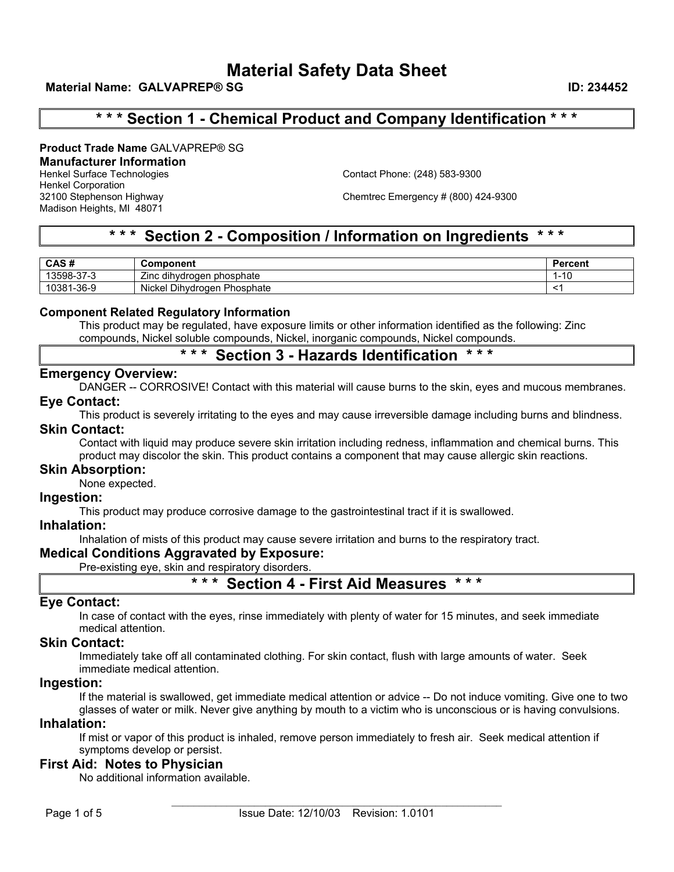# **\* \* \* Section 1 - Chemical Product and Company Identification \* \* \***

**Product Trade Name** GALVAPREP® SG

### **Manufacturer Information**

Henkel Corporation Madison Heights, MI 48071

Henkel Surface Technologies Contact Phone: (248) 583-9300

32100 Stephenson Highway Chemtrec Emergency # (800) 424-9300

## **\* \* \* Section 2 - Composition / Information on Ingredients \* \* \***

| CAS#        | Component                                       | Jarcon'<br>$-$<br>ו שפות |
|-------------|-------------------------------------------------|--------------------------|
| ີ 3598-37-ວ | <br>--<br>⊧phosphate<br>dihydrogen<br>∠ınc      | 4 C<br>טו                |
| 10381-36-9  | - -<br>.<br>Phosphate<br>Nickel<br>Dihvdrogen F |                          |

### **Component Related Regulatory Information**

This product may be regulated, have exposure limits or other information identified as the following: Zinc compounds, Nickel soluble compounds, Nickel, inorganic compounds, Nickel compounds.

## **\* \* \* Section 3 - Hazards Identification \* \* \***

### **Emergency Overview:**

DANGER -- CORROSIVE! Contact with this material will cause burns to the skin, eyes and mucous membranes.

### **Eye Contact:**

This product is severely irritating to the eyes and may cause irreversible damage including burns and blindness.

### **Skin Contact:**

Contact with liquid may produce severe skin irritation including redness, inflammation and chemical burns. This product may discolor the skin. This product contains a component that may cause allergic skin reactions.

### **Skin Absorption:**

None expected.

### **Ingestion:**

This product may produce corrosive damage to the gastrointestinal tract if it is swallowed.

### **Inhalation:**

Inhalation of mists of this product may cause severe irritation and burns to the respiratory tract.

### **Medical Conditions Aggravated by Exposure:**

Pre-existing eye, skin and respiratory disorders.

### **\* \* \* Section 4 - First Aid Measures \* \* \***

### **Eye Contact:**

In case of contact with the eyes, rinse immediately with plenty of water for 15 minutes, and seek immediate medical attention.

### **Skin Contact:**

Immediately take off all contaminated clothing. For skin contact, flush with large amounts of water. Seek immediate medical attention.

### **Ingestion:**

If the material is swallowed, get immediate medical attention or advice -- Do not induce vomiting. Give one to two glasses of water or milk. Never give anything by mouth to a victim who is unconscious or is having convulsions.

### **Inhalation:**

If mist or vapor of this product is inhaled, remove person immediately to fresh air. Seek medical attention if symptoms develop or persist.

### **First Aid: Notes to Physician**

No additional information available.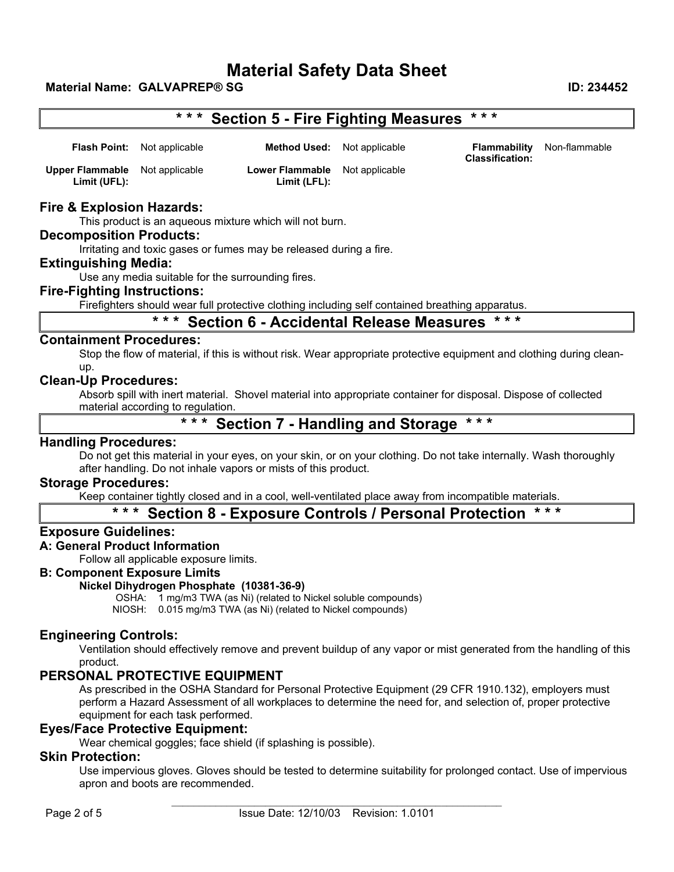# **\* \* \* Section 5 - Fire Fighting Measures \* \* \***

|                                                       | <b>Flash Point:</b> Not applicable | <b>Method Used:</b> Not applicable                    | <b>Classification:</b> | <b>Flammability</b> Non-flammable |
|-------------------------------------------------------|------------------------------------|-------------------------------------------------------|------------------------|-----------------------------------|
| <b>Upper Flammable</b> Not applicable<br>Limit (UFL): |                                    | <b>Lower Flammable</b> Not applicable<br>Limit (LFL): |                        |                                   |

### **Fire & Explosion Hazards:**

This product is an aqueous mixture which will not burn.

#### **Decomposition Products:**

Irritating and toxic gases or fumes may be released during a fire.

### **Extinguishing Media:**

Use any media suitable for the surrounding fires.

### **Fire-Fighting Instructions:**

Firefighters should wear full protective clothing including self contained breathing apparatus.

# **\* \* \* Section 6 - Accidental Release Measures \* \* \***

### **Containment Procedures:**

Stop the flow of material, if this is without risk. Wear appropriate protective equipment and clothing during cleanup.

### **Clean-Up Procedures:**

Absorb spill with inert material. Shovel material into appropriate container for disposal. Dispose of collected material according to regulation.

### **\* \* \* Section 7 - Handling and Storage \* \* \***

### **Handling Procedures:**

Do not get this material in your eyes, on your skin, or on your clothing. Do not take internally. Wash thoroughly after handling. Do not inhale vapors or mists of this product.

### **Storage Procedures:**

Keep container tightly closed and in a cool, well-ventilated place away from incompatible materials.

### **\* \* \* Section 8 - Exposure Controls / Personal Protection \* \* \***

### **Exposure Guidelines:**

### **A: General Product Information**

Follow all applicable exposure limits.

### **B: Component Exposure Limits**

### **Nickel Dihydrogen Phosphate (10381-36-9)**

OSHA: 1 mg/m3 TWA (as Ni) (related to Nickel soluble compounds)

NIOSH: 0.015 mg/m3 TWA (as Ni) (related to Nickel compounds)

### **Engineering Controls:**

Ventilation should effectively remove and prevent buildup of any vapor or mist generated from the handling of this product.

### **PERSONAL PROTECTIVE EQUIPMENT**

As prescribed in the OSHA Standard for Personal Protective Equipment (29 CFR 1910.132), employers must perform a Hazard Assessment of all workplaces to determine the need for, and selection of, proper protective equipment for each task performed.

### **Eyes/Face Protective Equipment:**

Wear chemical goggles; face shield (if splashing is possible).

### **Skin Protection:**

Use impervious gloves. Gloves should be tested to determine suitability for prolonged contact. Use of impervious apron and boots are recommended.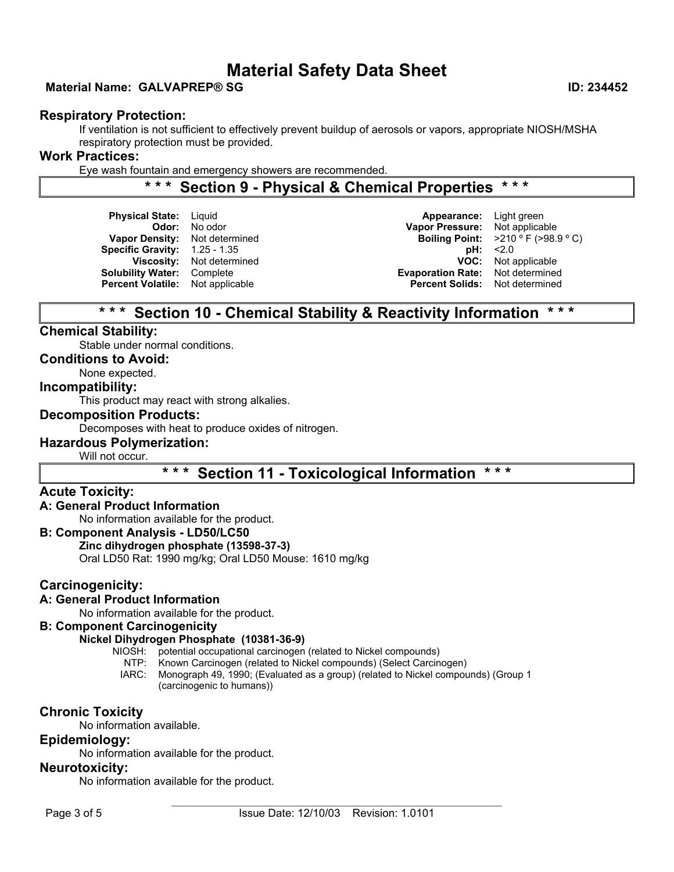### **Material Name: GALVAPREP® SG ID: 234452**

### **Respiratory Protection:**

If ventilation is not sufficient to effectively prevent buildup of aerosols or vapors, appropriate NIOSH/MSHA respiratory protection must be provided.

### **Work Practices:**

Eye wash fountain and emergency showers are recommended.

## **\* \* \* Section 9 - Physical & Chemical Properties \* \* \***

**Physical State:** Liquid **Appearance:** Light green **Specific Gravity:**   $1.25 - 1.35$  **pH:**  $\leq 2.0$ **Percent Volatile:** Not applicable

**Odor:** No odor **Vapor Pressure:** Not applicable **Vapor Density:** Not determined **Boiling Point:**  $>210$  ° F (>98.9 ° C) **Viscosity:** Not determined **VOC:** Not applicable **Solubility Water:** Complete **Evaporation Rate:** Not determined

## **\* \* \* Section 10 - Chemical Stability & Reactivity Information \* \* \***

### **Chemical Stability:**

Stable under normal conditions.

**Conditions to Avoid:**

None expected.

### **Incompatibility:**

This product may react with strong alkalies.

### **Decomposition Products:**

Decomposes with heat to produce oxides of nitrogen.

### **Hazardous Polymerization:**

Will not occur.

**\* \* \* Section 11 - Toxicological Information \* \* \*** 

### **Acute Toxicity:**

### **A: General Product Information**

No information available for the product.

### **B: Component Analysis - LD50/LC50**

### **Zinc dihydrogen phosphate (13598-37-3)**

Oral LD50 Rat: 1990 mg/kg; Oral LD50 Mouse: 1610 mg/kg

### **Carcinogenicity:**

### **A: General Product Information**

No information available for the product.

### **B: Component Carcinogenicity**

### **Nickel Dihydrogen Phosphate (10381-36-9)**

NIOSH: potential occupational carcinogen (related to Nickel compounds)

NTP: Known Carcinogen (related to Nickel compounds) (Select Carcinogen)

IARC: Monograph 49, 1990; (Evaluated as a group) (related to Nickel compounds) (Group 1 (carcinogenic to humans))

### **Chronic Toxicity**

No information available.

### **Epidemiology:**

No information available for the product.

### **Neurotoxicity:**

No information available for the product.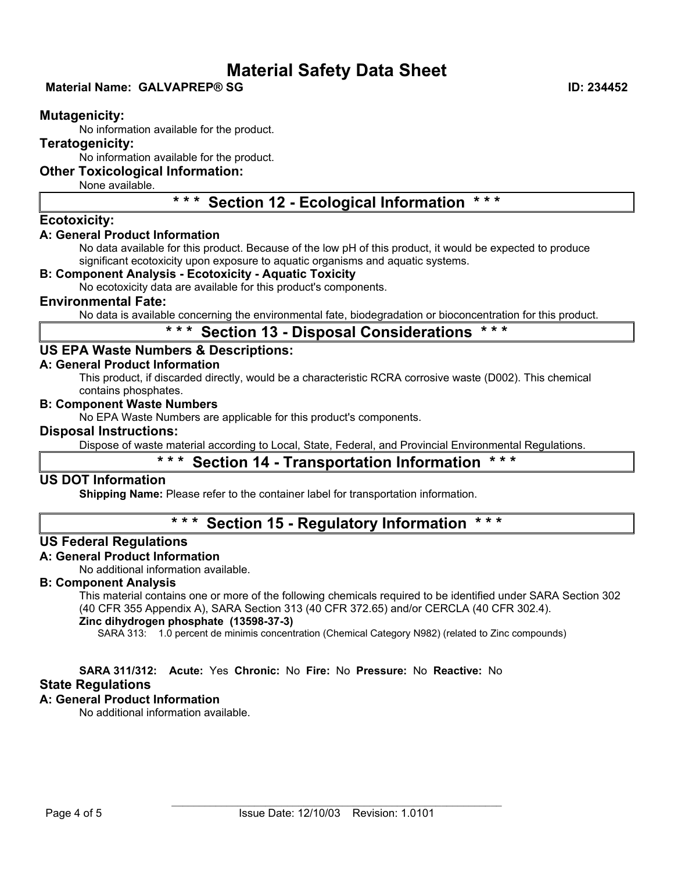### **Material Name: GALVAPREP® SG ID: 234452**

### **Mutagenicity:**

No information available for the product.

### **Teratogenicity:**

No information available for the product.

### **Other Toxicological Information:**

None available.

# **\* \* \* Section 12 - Ecological Information \* \* \***

### **Ecotoxicity:**

### **A: General Product Information**

No data available for this product. Because of the low pH of this product, it would be expected to produce significant ecotoxicity upon exposure to aquatic organisms and aquatic systems.

### **B: Component Analysis - Ecotoxicity - Aquatic Toxicity**

No ecotoxicity data are available for this product's components.

### **Environmental Fate:**

No data is available concerning the environmental fate, biodegradation or bioconcentration for this product.

### **\* \* \* Section 13 - Disposal Considerations \* \* \***

### **US EPA Waste Numbers & Descriptions:**

### **A: General Product Information**

This product, if discarded directly, would be a characteristic RCRA corrosive waste (D002). This chemical contains phosphates.

### **B: Component Waste Numbers**

No EPA Waste Numbers are applicable for this product's components.

### **Disposal Instructions:**

Dispose of waste material according to Local, State, Federal, and Provincial Environmental Regulations.

### **\* \* \* Section 14 - Transportation Information \* \* \***

### **US DOT Information**

**Shipping Name:** Please refer to the container label for transportation information.

# **\* \* \* Section 15 - Regulatory Information \* \* \***

### **US Federal Regulations**

### **A: General Product Information**

No additional information available.

### **B: Component Analysis**

This material contains one or more of the following chemicals required to be identified under SARA Section 302 (40 CFR 355 Appendix A), SARA Section 313 (40 CFR 372.65) and/or CERCLA (40 CFR 302.4).

### **Zinc dihydrogen phosphate (13598-37-3)**

SARA 313: 1.0 percent de minimis concentration (Chemical Category N982) (related to Zinc compounds)

### **SARA 311/312: Acute:** Yes **Chronic:** No **Fire:** No **Pressure:** No **Reactive:** No

### **State Regulations**

### **A: General Product Information**

No additional information available.